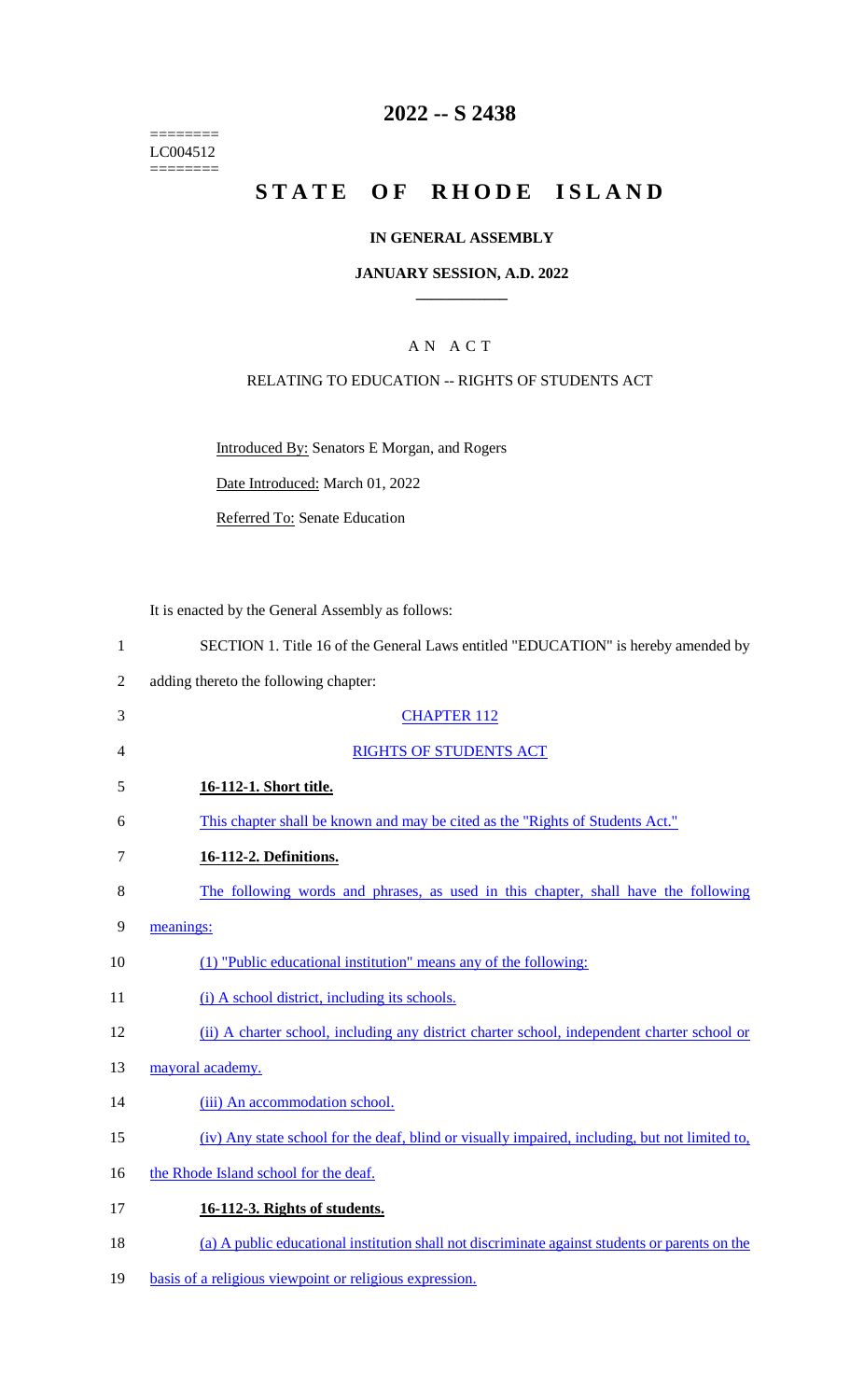======== LC004512 ========

## **2022 -- S 2438**

# **STATE OF RHODE ISLAND**

#### **IN GENERAL ASSEMBLY**

#### **JANUARY SESSION, A.D. 2022 \_\_\_\_\_\_\_\_\_\_\_\_**

### A N A C T

#### RELATING TO EDUCATION -- RIGHTS OF STUDENTS ACT

Introduced By: Senators E Morgan, and Rogers

Date Introduced: March 01, 2022

Referred To: Senate Education

It is enacted by the General Assembly as follows:

| SECTION 1. Title 16 of the General Laws entitled "EDUCATION" is hereby amended by |
|-----------------------------------------------------------------------------------|
|                                                                                   |

- 2 adding thereto the following chapter:
- 3 CHAPTER 112 4 RIGHTS OF STUDENTS ACT 5 **16-112-1. Short title.**  6 This chapter shall be known and may be cited as the "Rights of Students Act." 7 **16-112-2. Definitions.**  8 The following words and phrases, as used in this chapter, shall have the following 9 meanings: 10 (1) "Public educational institution" means any of the following: 11 (i) A school district, including its schools. 12 (ii) A charter school, including any district charter school, independent charter school or 13 mayoral academy.
- 14 (iii) An accommodation school.
- 15 (iv) Any state school for the deaf, blind or visually impaired, including, but not limited to,
- 16 the Rhode Island school for the deaf.
- 17 **16-112-3. Rights of students.**
- 18 (a) A public educational institution shall not discriminate against students or parents on the
- 19 basis of a religious viewpoint or religious expression.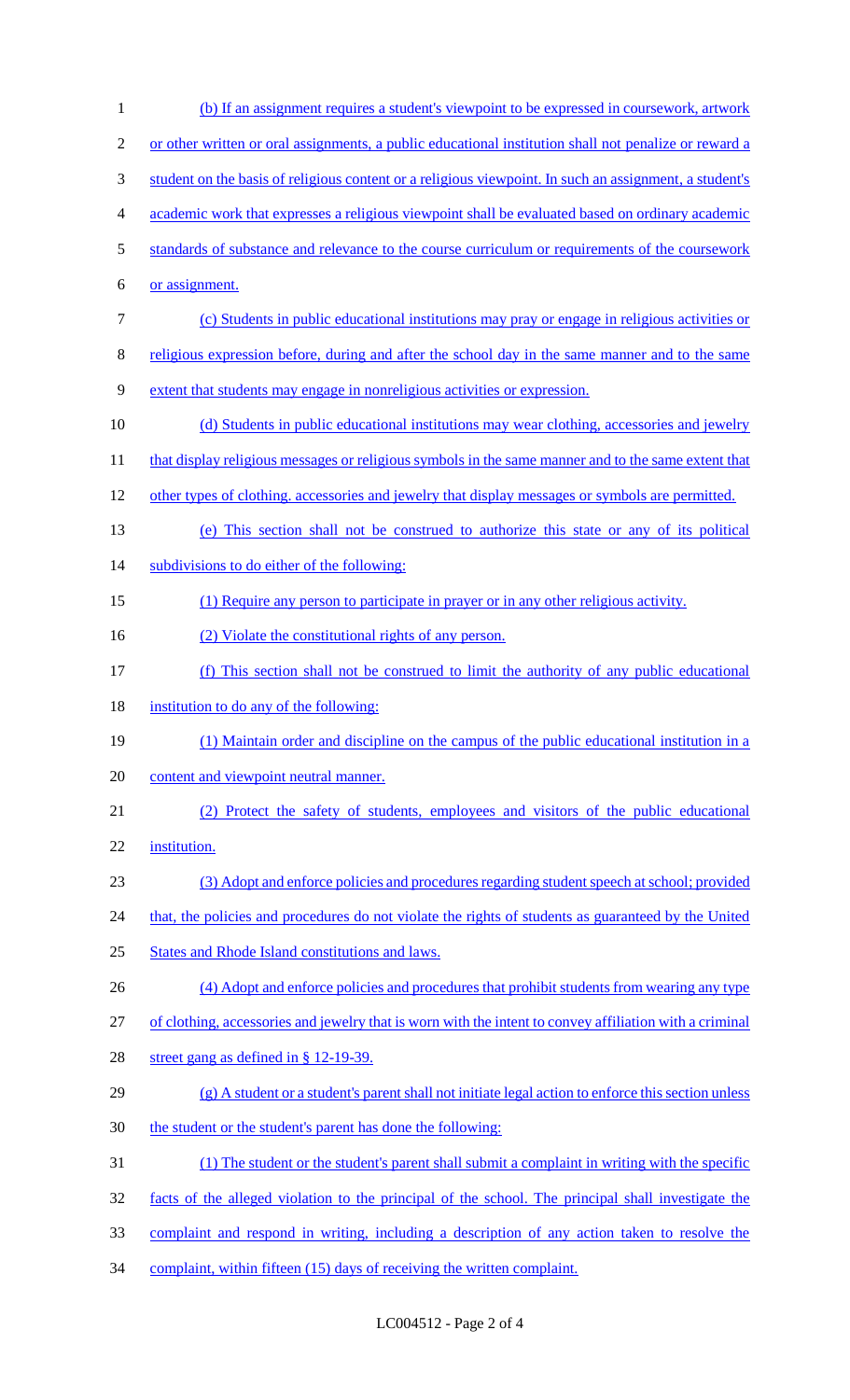| $\mathbf{1}$   | (b) If an assignment requires a student's viewpoint to be expressed in coursework, artwork              |
|----------------|---------------------------------------------------------------------------------------------------------|
| $\overline{2}$ | or other written or oral assignments, a public educational institution shall not penalize or reward a   |
| 3              | student on the basis of religious content or a religious viewpoint. In such an assignment, a student's  |
| 4              | academic work that expresses a religious viewpoint shall be evaluated based on ordinary academic        |
| 5              | standards of substance and relevance to the course curriculum or requirements of the coursework         |
| 6              | or assignment.                                                                                          |
| $\tau$         | (c) Students in public educational institutions may pray or engage in religious activities or           |
| 8              | religious expression before, during and after the school day in the same manner and to the same         |
| 9              | extent that students may engage in nonreligious activities or expression.                               |
| 10             | (d) Students in public educational institutions may wear clothing, accessories and jewelry              |
| 11             | that display religious messages or religious symbols in the same manner and to the same extent that     |
| 12             | other types of clothing, accessories and jewelry that display messages or symbols are permitted.        |
| 13             | (e) This section shall not be construed to authorize this state or any of its political                 |
| 14             | subdivisions to do either of the following:                                                             |
| 15             | (1) Require any person to participate in prayer or in any other religious activity.                     |
| 16             | (2) Violate the constitutional rights of any person.                                                    |
| 17             | (f) This section shall not be construed to limit the authority of any public educational                |
| 18             | institution to do any of the following:                                                                 |
| 19             | (1) Maintain order and discipline on the campus of the public educational institution in a              |
| 20             | content and viewpoint neutral manner.                                                                   |
| 21             | (2) Protect the safety of students, employees and visitors of the public educational                    |
| 22             | institution.                                                                                            |
| 23             | (3) Adopt and enforce policies and procedures regarding student speech at school; provided              |
| 24             | that, the policies and procedures do not violate the rights of students as guaranteed by the United     |
| 25             | <b>States and Rhode Island constitutions and laws.</b>                                                  |
| 26             | (4) Adopt and enforce policies and procedures that prohibit students from wearing any type              |
| 27             | of clothing, accessories and jewelry that is worn with the intent to convey affiliation with a criminal |
| 28             | street gang as defined in $\S$ 12-19-39.                                                                |
| 29             | $(g)$ A student or a student's parent shall not initiate legal action to enforce this section unless    |
| 30             | the student or the student's parent has done the following:                                             |
| 31             | (1) The student or the student's parent shall submit a complaint in writing with the specific           |
| 32             | facts of the alleged violation to the principal of the school. The principal shall investigate the      |
| 33             | complaint and respond in writing, including a description of any action taken to resolve the            |
| 34             | complaint, within fifteen (15) days of receiving the written complaint.                                 |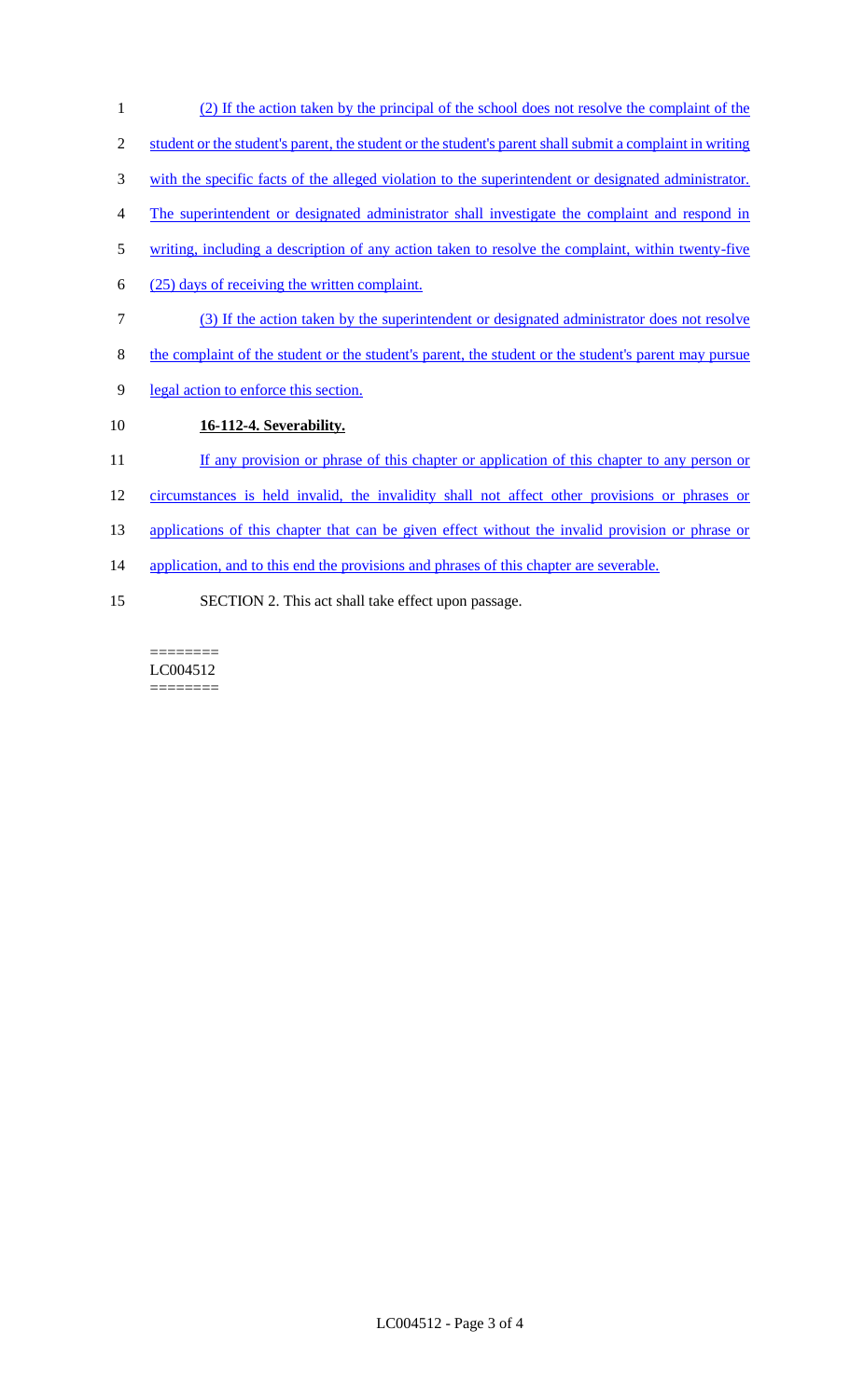- 1 (2) If the action taken by the principal of the school does not resolve the complaint of the
- 2 student or the student's parent, the student or the student's parent shall submit a complaint in writing
- 3 with the specific facts of the alleged violation to the superintendent or designated administrator.
- 4 The superintendent or designated administrator shall investigate the complaint and respond in
- 5 writing, including a description of any action taken to resolve the complaint, within twenty-five
- 6 (25) days of receiving the written complaint.
- 7 (3) If the action taken by the superintendent or designated administrator does not resolve
- 8 the complaint of the student or the student's parent, the student or the student's parent may pursue
- 9 legal action to enforce this section.

### 10 **16-112-4. Severability.**

- 11 If any provision or phrase of this chapter or application of this chapter to any person or
- 12 circumstances is held invalid, the invalidity shall not affect other provisions or phrases or
- 13 applications of this chapter that can be given effect without the invalid provision or phrase or
- 14 application, and to this end the provisions and phrases of this chapter are severable.
- 15 SECTION 2. This act shall take effect upon passage.

======== LC004512 ========